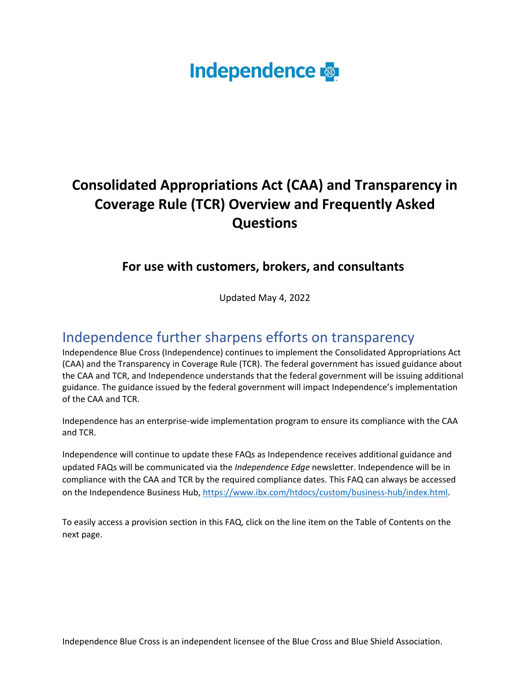# **Independence**

# **Consolidated Appropriations Act (CAA) and Transparency in Coverage Rule (TCR) Overview and Frequently Asked Questions**

# **For use with customers, brokers, and consultants**

Updated May 4, 2022

# Independence further sharpens efforts on transparency

Independence Blue Cross (Independence) continues to implement the Consolidated Appropriations Act (CAA) and the Transparency in Coverage Rule (TCR). The federal government has issued guidance about the CAA and TCR, and Independence understands that the federal government will be issuing additional guidance. The guidance issued by the federal government will impact Independence's implementation of the CAA and TCR.

Independence has an enterprise-wide implementation program to ensure its compliance with the CAA and TCR.

Independence will continue to update these FAQs as Independence receives additional guidance and updated FAQs will be communicated via the *Independence Edge* newsletter. Independence will be in compliance with the CAA and TCR by the required compliance dates. This FAQ can always be accessed on the Independence Business Hub, [https://www.ibx.com/htdocs/custom/business-hub/index.html.](https://www.ibx.com/htdocs/custom/business-hub/index.html)

To easily access a provision section in this FAQ, click on the line item on the Table of Contents on the next page.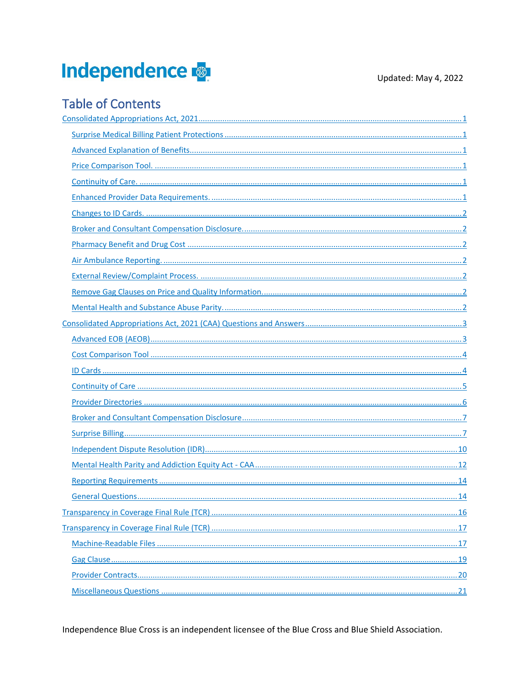# Independence

# **Table of Contents**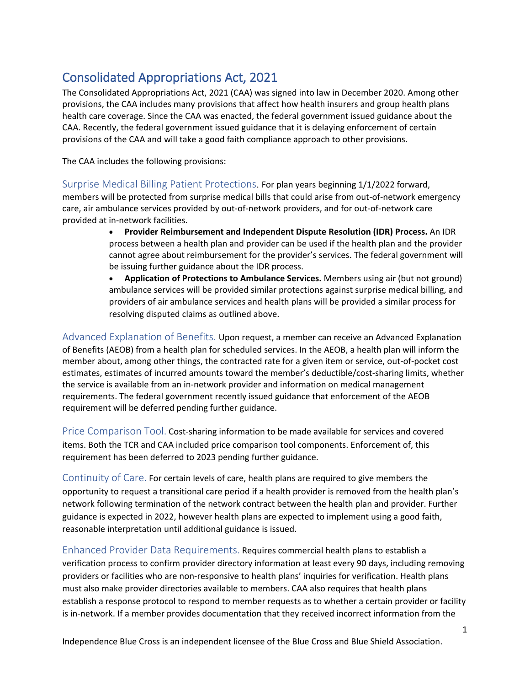# <span id="page-2-0"></span>Consolidated Appropriations Act, 2021

The Consolidated Appropriations Act, 2021 (CAA) was signed into law in December 2020. Among other provisions, the CAA includes many provisions that affect how health insurers and group health plans health care coverage. Since the CAA was enacted, the federal government issued guidance about the CAA. Recently, the federal government issued guidance that it is delaying enforcement of certain provisions of the CAA and will take a good faith compliance approach to other provisions.

The CAA includes the following provisions:

<span id="page-2-1"></span>Surprise Medical Billing Patient Protections. For plan years beginning 1/1/2022 forward, members will be protected from surprise medical bills that could arise from out-of-network emergency care, air ambulance services provided by out-of-network providers, and for out-of-network care provided at in-network facilities.

- **Provider Reimbursement and Independent Dispute Resolution (IDR) Process.** An IDR process between a health plan and provider can be used if the health plan and the provider cannot agree about reimbursement for the provider's services. The federal government will be issuing further guidance about the IDR process.
- **Application of Protections to Ambulance Services.** Members using air (but not ground) ambulance services will be provided similar protections against surprise medical billing, and providers of air ambulance services and health plans will be provided a similar process for resolving disputed claims as outlined above.

<span id="page-2-2"></span>Advanced Explanation of Benefits. Upon request, a member can receive an Advanced Explanation of Benefits (AEOB) from a health plan for scheduled services. In the AEOB, a health plan will inform the member about, among other things, the contracted rate for a given item or service, out-of-pocket cost estimates, estimates of incurred amounts toward the member's deductible/cost-sharing limits, whether the service is available from an in-network provider and information on medical management requirements. The federal government recently issued guidance that enforcement of the AEOB requirement will be deferred pending further guidance.

<span id="page-2-3"></span>Price Comparison Tool. Cost-sharing information to be made available for services and covered items. Both the TCR and CAA included price comparison tool components. Enforcement of, this requirement has been deferred to 2023 pending further guidance.

<span id="page-2-4"></span>Continuity of Care. For certain levels of care, health plans are required to give members the opportunity to request a transitional care period if a health provider is removed from the health plan's network following termination of the network contract between the health plan and provider. Further guidance is expected in 2022, however health plans are expected to implement using a good faith, reasonable interpretation until additional guidance is issued.

<span id="page-2-5"></span>Enhanced Provider Data Requirements. Requires commercial health plans to establish a verification process to confirm provider directory information at least every 90 days, including removing providers or facilities who are non-responsive to health plans' inquiries for verification. Health plans must also make provider directories available to members. CAA also requires that health plans establish a response protocol to respond to member requests as to whether a certain provider or facility is in-network. If a member provides documentation that they received incorrect information from the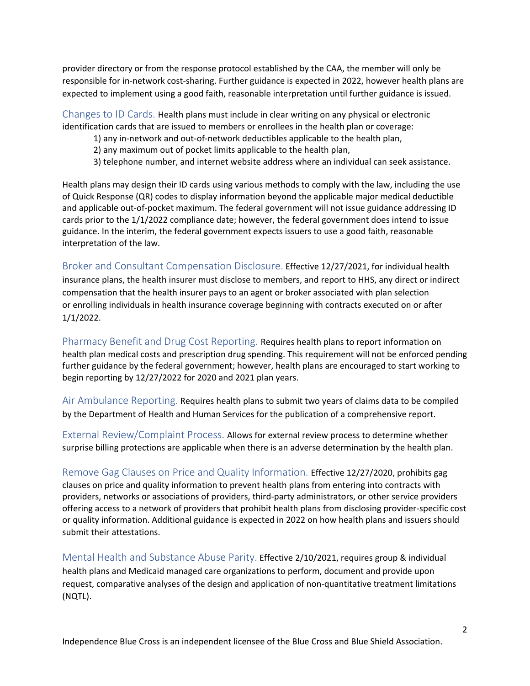provider directory or from the response protocol established by the CAA, the member will only be responsible for in-network cost-sharing. Further guidance is expected in 2022, however health plans are expected to implement using a good faith, reasonable interpretation until further guidance is issued.

<span id="page-3-0"></span>Changes to ID Cards. Health plans must include in clear writing on any physical or electronic identification cards that are issued to members or enrollees in the health plan or coverage:

- 1) any in-network and out-of-network deductibles applicable to the health plan,
- 2) any maximum out of pocket limits applicable to the health plan,
- 3) telephone number, and internet website address where an individual can seek assistance.

Health plans may design their ID cards using various methods to comply with the law, including the use of Quick Response (QR) codes to display information beyond the applicable major medical deductible and applicable out-of-pocket maximum. The federal government will not issue guidance addressing ID cards prior to the 1/1/2022 compliance date; however, the federal government does intend to issue guidance. In the interim, the federal government expects issuers to use a good faith, reasonable interpretation of the law.

<span id="page-3-1"></span>Broker and Consultant Compensation Disclosure. Effective 12/27/2021, for individual health insurance plans, the health insurer must disclose to members, and report to HHS, any direct or indirect compensation that the health insurer pays to an agent or broker associated with plan selection or enrolling individuals in health insurance coverage beginning with contracts executed on or after 1/1/2022.

<span id="page-3-2"></span>Pharmacy Benefit and Drug Cost Reporting. Requires health plans to report information on health plan medical costs and prescription drug spending. This requirement will not be enforced pending further guidance by the federal government; however, health plans are encouraged to start working to begin reporting by 12/27/2022 for 2020 and 2021 plan years.

<span id="page-3-3"></span>Air Ambulance Reporting. Requires health plans to submit two years of claims data to be compiled by the Department of Health and Human Services for the publication of a comprehensive report.

<span id="page-3-4"></span>External Review/Complaint Process. Allows for external review process to determine whether surprise billing protections are applicable when there is an adverse determination by the health plan.

<span id="page-3-5"></span>Remove Gag Clauses on Price and Quality Information. Effective 12/27/2020, prohibits gag clauses on price and quality information to prevent health plans from entering into contracts with providers, networks or associations of providers, third-party administrators, or other service providers offering access to a network of providers that prohibit health plans from disclosing provider-specific cost or quality information. Additional guidance is expected in 2022 on how health plans and issuers should submit their attestations.

<span id="page-3-6"></span>Mental Health and Substance Abuse Parity. Effective 2/10/2021, requires group & individual health plans and Medicaid managed care organizations to perform, document and provide upon request, comparative analyses of the design and application of non-quantitative treatment limitations (NQTL).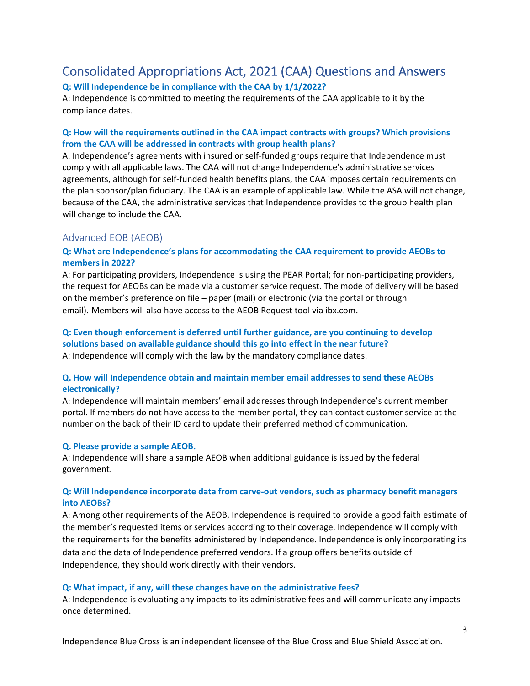# <span id="page-4-0"></span>Consolidated Appropriations Act, 2021 (CAA) Questions and Answers

### **Q: Will Independence be in compliance with the CAA by 1/1/2022?**

A: Independence is committed to meeting the requirements of the CAA applicable to it by the compliance dates.

#### **Q: How will the requirements outlined in the CAA impact contracts with groups? Which provisions from the CAA will be addressed in contracts with group health plans?**

A: Independence's agreements with insured or self-funded groups require that Independence must comply with all applicable laws. The CAA will not change Independence's administrative services agreements, although for self-funded health benefits plans, the CAA imposes certain requirements on the plan sponsor/plan fiduciary. The CAA is an example of applicable law. While the ASA will not change, because of the CAA, the administrative services that Independence provides to the group health plan will change to include the CAA.

# <span id="page-4-1"></span>Advanced EOB (AEOB)

### **Q: What are Independence's plans for accommodating the CAA requirement to provide AEOBs to members in 2022?**

A: For participating providers, Independence is using the PEAR Portal; for non-participating providers, the request for AEOBs can be made via a customer service request. The mode of delivery will be based on the member's preference on file – paper (mail) or electronic (via the portal or through email). Members will also have access to the AEOB Request tool via ibx.com.

# **Q: Even though enforcement is deferred until further guidance, are you continuing to develop solutions based on available guidance should this go into effect in the near future?** A: Independence will comply with the law by the mandatory compliance dates.

### **Q. How will Independence obtain and maintain member email addresses to send these AEOBs electronically?**

A: Independence will maintain members' email addresses through Independence's current member portal. If members do not have access to the member portal, they can contact customer service at the number on the back of their ID card to update their preferred method of communication. 

#### **Q. Please provide a sample AEOB.**

A: Independence will share a sample AEOB when additional guidance is issued by the federal government.

#### **Q: Will Independence incorporate data from carve-out vendors, such as pharmacy benefit managers into AEOBs?**

A: Among other requirements of the AEOB, Independence is required to provide a good faith estimate of the member's requested items or services according to their coverage. Independence will comply with the requirements for the benefits administered by Independence. Independence is only incorporating its data and the data of Independence preferred vendors. If a group offers benefits outside of Independence, they should work directly with their vendors.

#### **Q: What impact, if any, will these changes have on the administrative fees?**

A: Independence is evaluating any impacts to its administrative fees and will communicate any impacts once determined.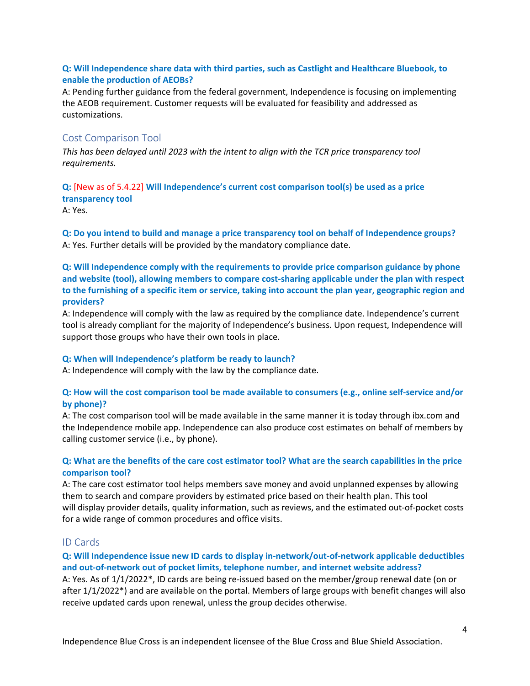### **Q: Will Independence share data with third parties, such as Castlight and Healthcare Bluebook, to enable the production of AEOBs?**

<span id="page-5-0"></span>A: Pending further guidance from the federal government, Independence is focusing on implementing the AEOB requirement. Customer requests will be evaluated for feasibility and addressed as customizations.

# Cost Comparison Tool

*This has been delayed until 2023 with the intent to align with the TCR price transparency tool requirements.*

#### **Q:** [New as of 5.4.22] **Will Independence's current cost comparison tool(s) be used as a price transparency tool**

A: Yes.

**Q: Do you intend to build and manage a price transparency tool on behalf of Independence groups?** A: Yes. Further details will be provided by the mandatory compliance date.

### **Q: Will Independence comply with the requirements to provide price comparison guidance by phone and website (tool), allowing members to compare cost-sharing applicable under the plan with respect to the furnishing of a specific item or service, taking into account the plan year, geographic region and providers?**

A: Independence will comply with the law as required by the compliance date. Independence's current tool is already compliant for the majority of Independence's business. Upon request, Independence will support those groups who have their own tools in place.

#### **Q: When will Independence's platform be ready to launch?**

A: Independence will comply with the law by the compliance date.

#### **Q: How will the cost comparison tool be made available to consumers (e.g., online self-service and/or by phone)?**

A: The cost comparison tool will be made available in the same manner it is today through ibx.com and the Independence mobile app. Independence can also produce cost estimates on behalf of members by calling customer service (i.e., by phone).

#### **Q: What are the benefits of the care cost estimator tool? What are the search capabilities in the price comparison tool?**

A: The care cost estimator tool helps members save money and avoid unplanned expenses by allowing them to search and compare providers by estimated price based on their health plan. This tool will display provider details, quality information, such as reviews, and the estimated out-of-pocket costs for a wide range of common procedures and office visits.

# <span id="page-5-1"></span>ID Cards

# **Q: Will Independence issue new ID cards to display in-network/out-of-network applicable deductibles and out-of-network out of pocket limits, telephone number, and internet website address?**

A: Yes. As of 1/1/2022\*, ID cards are being re-issued based on the member/group renewal date (on or after 1/1/2022\*) and are available on the portal. Members of large groups with benefit changes will also receive updated cards upon renewal, unless the group decides otherwise.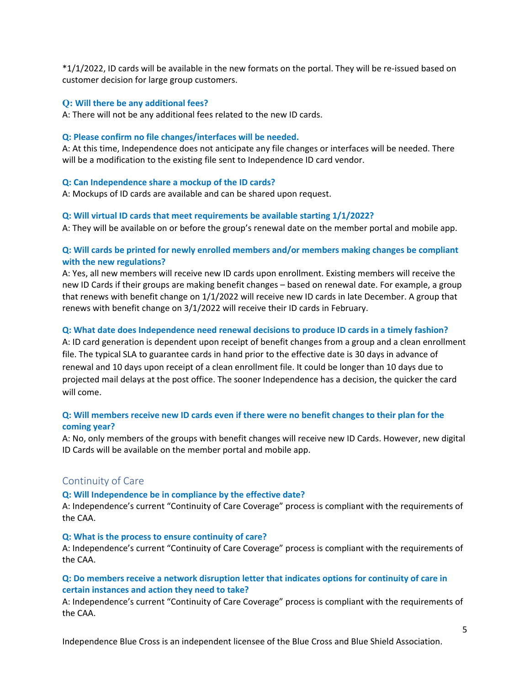\*1/1/2022, ID cards will be available in the new formats on the portal. They will be re-issued based on customer decision for large group customers.

#### **Q: Will there be any additional fees?**

A: There will not be any additional fees related to the new ID cards.

#### **Q: Please confirm no file changes/interfaces will be needed.**

A: At this time, Independence does not anticipate any file changes or interfaces will be needed. There will be a modification to the existing file sent to Independence ID card vendor.

#### **Q: Can Independence share a mockup of the ID cards?**

A: Mockups of ID cards are available and can be shared upon request.

#### **Q: Will virtual ID cards that meet requirements be available starting 1/1/2022?**

A: They will be available on or before the group's renewal date on the member portal and mobile app.

#### **Q: Will cards be printed for newly enrolled members and/or members making changes be compliant with the new regulations?**

A: Yes, all new members will receive new ID cards upon enrollment. Existing members will receive the new ID Cards if their groups are making benefit changes – based on renewal date. For example, a group that renews with benefit change on 1/1/2022 will receive new ID cards in late December. A group that renews with benefit change on 3/1/2022 will receive their ID cards in February.

#### **Q: What date does Independence need renewal decisions to produce ID cards in a timely fashion?**

A: ID card generation is dependent upon receipt of benefit changes from a group and a clean enrollment file. The typical SLA to guarantee cards in hand prior to the effective date is 30 days in advance of renewal and 10 days upon receipt of a clean enrollment file. It could be longer than 10 days due to projected mail delays at the post office. The sooner Independence has a decision, the quicker the card will come.

#### **Q: Will members receive new ID cards even if there were no benefit changes to their plan for the coming year?**

A: No, only members of the groups with benefit changes will receive new ID Cards. However, new digital ID Cards will be available on the member portal and mobile app.

# <span id="page-6-0"></span>Continuity of Care

#### **Q: Will Independence be in compliance by the effective date?**

A: Independence's current "Continuity of Care Coverage" process is compliant with the requirements of the CAA.

#### **Q: What is the process to ensure continuity of care?**

A: Independence's current "Continuity of Care Coverage" process is compliant with the requirements of the CAA.

#### **Q: Do members receive a network disruption letter that indicates options for continuity of care in certain instances and action they need to take?**

A: Independence's current "Continuity of Care Coverage" process is compliant with the requirements of the CAA.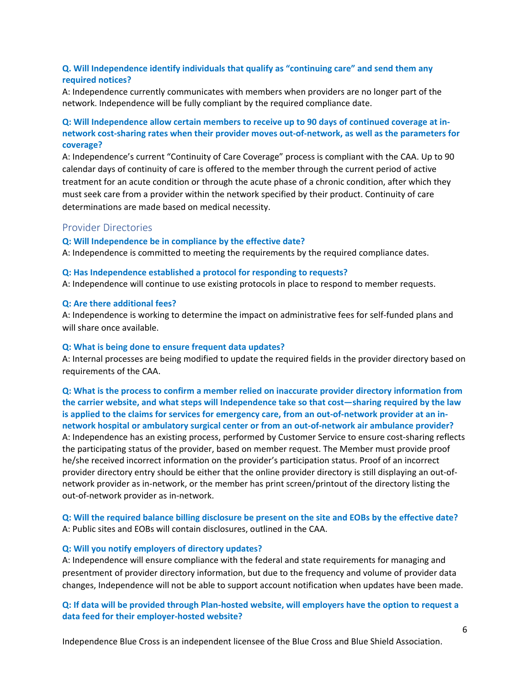### **Q. Will Independence identify individuals that qualify as "continuing care" and send them any required notices?**

A: Independence currently communicates with members when providers are no longer part of the network. Independence will be fully compliant by the required compliance date.

# **Q: Will Independence allow certain members to receive up to 90 days of continued coverage at innetwork cost-sharing rates when their provider moves out-of-network, as well as the parameters for coverage?**

A: Independence's current "Continuity of Care Coverage" process is compliant with the CAA. Up to 90 calendar days of continuity of care is offered to the member through the current period of active treatment for an acute condition or through the acute phase of a chronic condition, after which they must seek care from a provider within the network specified by their product. Continuity of care determinations are made based on medical necessity.

#### <span id="page-7-0"></span>Provider Directories

#### **Q: Will Independence be in compliance by the effective date?**

A: Independence is committed to meeting the requirements by the required compliance dates.

#### **Q: Has Independence established a protocol for responding to requests?**

A: Independence will continue to use existing protocols in place to respond to member requests.

#### **Q: Are there additional fees?**

A: Independence is working to determine the impact on administrative fees for self-funded plans and will share once available.

#### **Q: What is being done to ensure frequent data updates?**

A: Internal processes are being modified to update the required fields in the provider directory based on requirements of the CAA.

**Q: What is the process to confirm a member relied on inaccurate provider directory information from the carrier website, and what steps will Independence take so that cost—sharing required by the law is applied to the claims for services for emergency care, from an out-of-network provider at an innetwork hospital or ambulatory surgical center or from an out-of-network air ambulance provider?** A: Independence has an existing process, performed by Customer Service to ensure cost-sharing reflects the participating status of the provider, based on member request. The Member must provide proof he/she received incorrect information on the provider's participation status. Proof of an incorrect provider directory entry should be either that the online provider directory is still displaying an out-ofnetwork provider as in-network, or the member has print screen/printout of the directory listing the out-of-network provider as in-network.

#### **Q: Will the required balance billing disclosure be present on the site and EOBs by the effective date?** A: Public sites and EOBs will contain disclosures, outlined in the CAA.

#### **Q: Will you notify employers of directory updates?**

A: Independence will ensure compliance with the federal and state requirements for managing and presentment of provider directory information, but due to the frequency and volume of provider data changes, Independence will not be able to support account notification when updates have been made.

#### **Q: If data will be provided through Plan-hosted website, will employers have the option to request a data feed for their employer-hosted website?**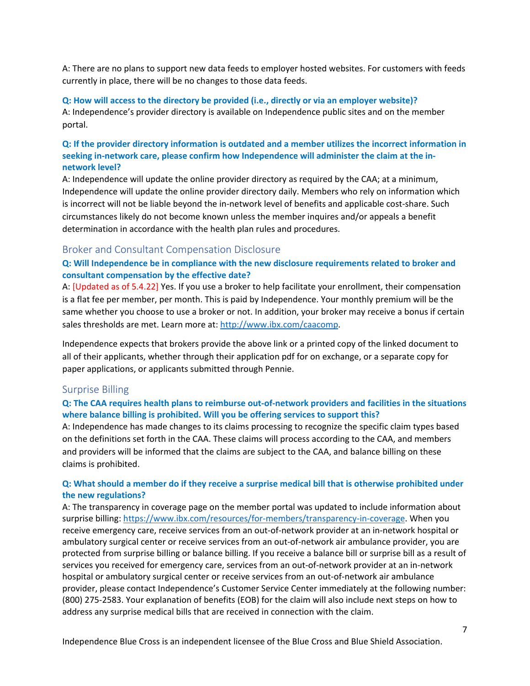A: There are no plans to support new data feeds to employer hosted websites. For customers with feeds currently in place, there will be no changes to those data feeds.

**Q: How will access to the directory be provided (i.e., directly or via an employer website)?** A: Independence's provider directory is available on Independence public sites and on the member portal.

# **Q: If the provider directory information is outdated and a member utilizes the incorrect information in seeking in-network care, please confirm how Independence will administer the claim at the innetwork level?**

A: Independence will update the online provider directory as required by the CAA; at a minimum, Independence will update the online provider directory daily. Members who rely on information which is incorrect will not be liable beyond the in-network level of benefits and applicable cost-share. Such circumstances likely do not become known unless the member inquires and/or appeals a benefit determination in accordance with the health plan rules and procedures.

#### <span id="page-8-0"></span>Broker and Consultant Compensation Disclosure

#### **Q: Will Independence be in compliance with the new disclosure requirements related to broker and consultant compensation by the effective date?**

A: [Updated as of 5.4.22] Yes. If you use a broker to help facilitate your enrollment, their compensation is a flat fee per member, per month. This is paid by Independence. Your monthly premium will be the same whether you choose to use a broker or not. In addition, your broker may receive a bonus if certain sales thresholds are met. Learn more at[: http://www.ibx.com/caacomp.](http://www.ibx.com/caacomp)

Independence expects that brokers provide the above link or a printed copy of the linked document to all of their applicants, whether through their application pdf for on exchange, or a separate copy for paper applications, or applicants submitted through Pennie.

#### <span id="page-8-1"></span>Surprise Billing

#### **Q: The CAA requires health plans to reimburse out-of-network providers and facilities in the situations where balance billing is prohibited. Will you be offering services to support this?**

A: Independence has made changes to its claims processing to recognize the specific claim types based on the definitions set forth in the CAA. These claims will process according to the CAA, and members and providers will be informed that the claims are subject to the CAA, and balance billing on these claims is prohibited.

#### **Q: What should a member do if they receive a surprise medical bill that is otherwise prohibited under the new regulations?**

A: The transparency in coverage page on the member portal was updated to include information about surprise billing[: https://www.ibx.com/resources/for-members/transparency-in-coverage.](https://www.ibx.com/resources/for-members/transparency-in-coverage) When you receive emergency care, receive services from an out-of-network provider at an in-network hospital or ambulatory surgical center or receive services from an out-of-network air ambulance provider, you are protected from surprise billing or balance billing. If you receive a balance bill or surprise bill as a result of services you received for emergency care, services from an out-of-network provider at an in-network hospital or ambulatory surgical center or receive services from an out-of-network air ambulance provider, please contact Independence's Customer Service Center immediately at the following number: (800) 275-2583. Your explanation of benefits (EOB) for the claim will also include next steps on how to address any surprise medical bills that are received in connection with the claim.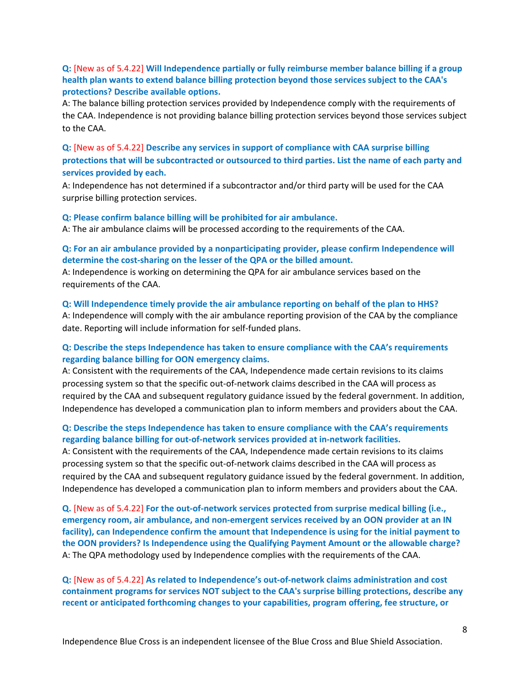#### **Q:** [New as of 5.4.22] **Will Independence partially or fully reimburse member balance billing if a group health plan wants to extend balance billing protection beyond those services subject to the CAA's protections? Describe available options.**

A: The balance billing protection services provided by Independence comply with the requirements of the CAA. Independence is not providing balance billing protection services beyond those services subject to the CAA.

# **Q:** [New as of 5.4.22] **Describe any services in support of compliance with CAA surprise billing protections that will be subcontracted or outsourced to third parties. List the name of each party and services provided by each.**

A: Independence has not determined if a subcontractor and/or third party will be used for the CAA surprise billing protection services.

#### **Q: Please confirm balance billing will be prohibited for air ambulance.**

A: The air ambulance claims will be processed according to the requirements of the CAA.

#### **Q: For an air ambulance provided by a nonparticipating provider, please confirm Independence will determine the cost-sharing on the lesser of the QPA or the billed amount.**

A: Independence is working on determining the QPA for air ambulance services based on the requirements of the CAA.

### **Q: Will Independence timely provide the air ambulance reporting on behalf of the plan to HHS?** A: Independence will comply with the air ambulance reporting provision of the CAA by the compliance date. Reporting will include information for self-funded plans.

#### **Q: Describe the steps Independence has taken to ensure compliance with the CAA's requirements regarding balance billing for OON emergency claims.**

A: Consistent with the requirements of the CAA, Independence made certain revisions to its claims processing system so that the specific out-of-network claims described in the CAA will process as required by the CAA and subsequent regulatory guidance issued by the federal government. In addition, Independence has developed a communication plan to inform members and providers about the CAA.

#### **Q: Describe the steps Independence has taken to ensure compliance with the CAA's requirements regarding balance billing for out-of-network services provided at in-network facilities.**

A: Consistent with the requirements of the CAA, Independence made certain revisions to its claims processing system so that the specific out-of-network claims described in the CAA will process as required by the CAA and subsequent regulatory guidance issued by the federal government. In addition, Independence has developed a communication plan to inform members and providers about the CAA.

**Q.** [New as of 5.4.22] **For the out-of-network services protected from surprise medical billing (i.e., emergency room, air ambulance, and non-emergent services received by an OON provider at an IN facility), can Independence confirm the amount that Independence is using for the initial payment to the OON providers? Is Independence using the Qualifying Payment Amount or the allowable charge?**  A: The QPA methodology used by Independence complies with the requirements of the CAA.

**Q:** [New as of 5.4.22] **As related to Independence's out-of-network claims administration and cost containment programs for services NOT subject to the CAA's surprise billing protections, describe any recent or anticipated forthcoming changes to your capabilities, program offering, fee structure, or**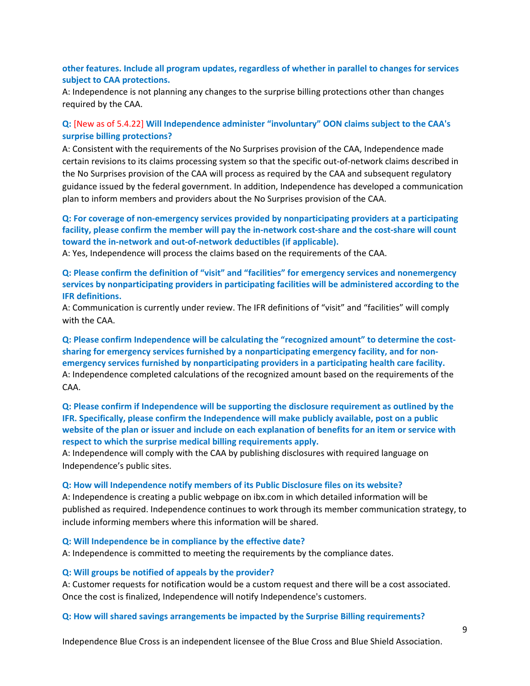#### **other features. Include all program updates, regardless of whether in parallel to changes for services subject to CAA protections.**

A: Independence is not planning any changes to the surprise billing protections other than changes required by the CAA.

# **Q:** [New as of 5.4.22] **Will Independence administer "involuntary" OON claims subject to the CAA's surprise billing protections?**

A: Consistent with the requirements of the No Surprises provision of the CAA, Independence made certain revisions to its claims processing system so that the specific out-of-network claims described in the No Surprises provision of the CAA will process as required by the CAA and subsequent regulatory guidance issued by the federal government. In addition, Independence has developed a communication plan to inform members and providers about the No Surprises provision of the CAA.

### **Q: For coverage of non-emergency services provided by nonparticipating providers at a participating facility, please confirm the member will pay the in-network cost-share and the cost-share will count toward the in-network and out-of-network deductibles (if applicable).**

A: Yes, Independence will process the claims based on the requirements of the CAA.

**Q: Please confirm the definition of "visit" and "facilities" for emergency services and nonemergency services by nonparticipating providers in participating facilities will be administered according to the IFR definitions.** 

A: Communication is currently under review. The IFR definitions of "visit" and "facilities" will comply with the CAA.

**Q: Please confirm Independence will be calculating the "recognized amount" to determine the costsharing for emergency services furnished by a nonparticipating emergency facility, and for nonemergency services furnished by nonparticipating providers in a participating health care facility.** A: Independence completed calculations of the recognized amount based on the requirements of the CAA.

#### **Q: Please confirm if Independence will be supporting the disclosure requirement as outlined by the IFR. Specifically, please confirm the Independence will make publicly available, post on a public website of the plan or issuer and include on each explanation of benefits for an item or service with respect to which the surprise medical billing requirements apply.**

A: Independence will comply with the CAA by publishing disclosures with required language on Independence's public sites.

#### **Q: How will Independence notify members of its Public Disclosure files on its website?**

A: Independence is creating a public webpage on ibx.com in which detailed information will be published as required. Independence continues to work through its member communication strategy, to include informing members where this information will be shared.

#### **Q: Will Independence be in compliance by the effective date?**

A: Independence is committed to meeting the requirements by the compliance dates.

#### **Q: Will groups be notified of appeals by the provider?**

A: Customer requests for notification would be a custom request and there will be a cost associated. Once the cost is finalized, Independence will notify Independence's customers.

#### **Q: How will shared savings arrangements be impacted by the Surprise Billing requirements?**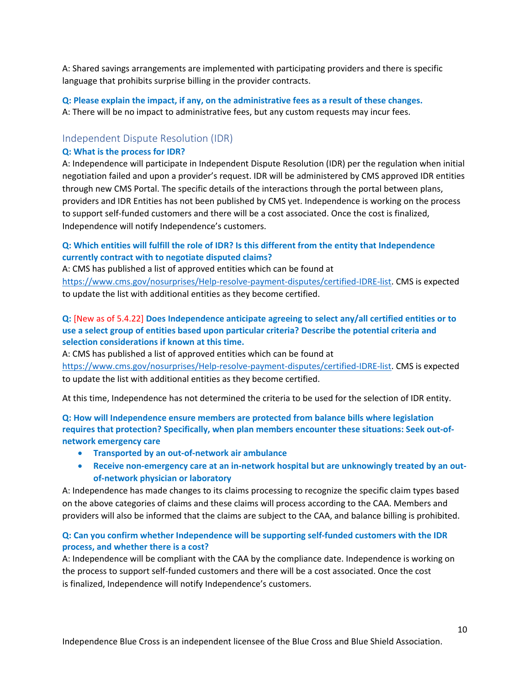A: Shared savings arrangements are implemented with participating providers and there is specific language that prohibits surprise billing in the provider contracts.

**Q: Please explain the impact, if any, on the administrative fees as a result of these changes.** A: There will be no impact to administrative fees, but any custom requests may incur fees.

### <span id="page-11-0"></span>Independent Dispute Resolution (IDR)

#### **Q: What is the process for IDR?**

A: Independence will participate in Independent Dispute Resolution (IDR) per the regulation when initial negotiation failed and upon a provider's request. IDR will be administered by CMS approved IDR entities through new CMS Portal. The specific details of the interactions through the portal between plans, providers and IDR Entities has not been published by CMS yet. Independence is working on the process to support self-funded customers and there will be a cost associated. Once the cost is finalized, Independence will notify Independence's customers.

#### **Q: Which entities will fulfill the role of IDR? Is this different from the entity that Independence currently contract with to negotiate disputed claims?**

A: CMS has published a list of approved entities which can be found at [https://www.cms.gov/nosurprises/Help-resolve-payment-disputes/certified-IDRE-list.](https://www.cms.gov/nosurprises/Help-resolve-payment-disputes/certified-IDRE-list) CMS is expected to update the list with additional entities as they become certified.

### **Q:** [New as of 5.4.22] **Does Independence anticipate agreeing to select any/all certified entities or to use a select group of entities based upon particular criteria? Describe the potential criteria and selection considerations if known at this time.**

A: CMS has published a list of approved entities which can be found at [https://www.cms.gov/nosurprises/Help-resolve-payment-disputes/certified-IDRE-list.](https://www.cms.gov/nosurprises/Help-resolve-payment-disputes/certified-IDRE-list) CMS is expected to update the list with additional entities as they become certified.

At this time, Independence has not determined the criteria to be used for the selection of IDR entity.

# **Q: How will Independence ensure members are protected from balance bills where legislation requires that protection? Specifically, when plan members encounter these situations: Seek out-ofnetwork emergency care**

- **Transported by an out-of-network air ambulance**
- **Receive non-emergency care at an in-network hospital but are unknowingly treated by an outof-network physician or laboratory**

A: Independence has made changes to its claims processing to recognize the specific claim types based on the above categories of claims and these claims will process according to the CAA. Members and providers will also be informed that the claims are subject to the CAA, and balance billing is prohibited.

#### **Q: Can you confirm whether Independence will be supporting self-funded customers with the IDR process, and whether there is a cost?**

A: Independence will be compliant with the CAA by the compliance date. Independence is working on the process to support self-funded customers and there will be a cost associated. Once the cost is finalized, Independence will notify Independence's customers.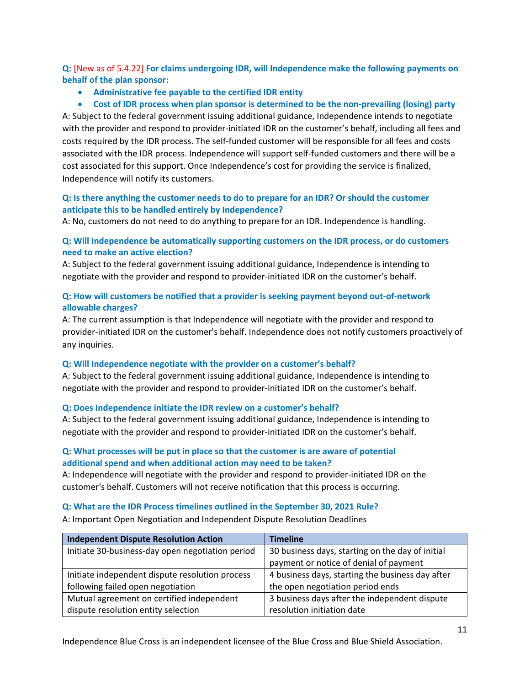**Q:** [New as of 5.4.22] **For claims undergoing IDR, will Independence make the following payments on behalf of the plan sponsor:** 

- **Administrative fee payable to the certified IDR entity**
- **Cost of IDR process when plan sponsor is determined to be the non-prevailing (losing) party**

A: Subject to the federal government issuing additional guidance, Independence intends to negotiate with the provider and respond to provider-initiated IDR on the customer's behalf, including all fees and costs required by the IDR process. The self-funded customer will be responsible for all fees and costs associated with the IDR process. Independence will support self-funded customers and there will be a cost associated for this support. Once Independence's cost for providing the service is finalized, Independence will notify its customers.

# **Q: Is there anything the customer needs to do to prepare for an IDR? Or should the customer anticipate this to be handled entirely by Independence?**

A: No, customers do not need to do anything to prepare for an IDR. Independence is handling.

#### **Q: Will Independence be automatically supporting customers on the IDR process, or do customers need to make an active election?**

A: Subject to the federal government issuing additional guidance, Independence is intending to negotiate with the provider and respond to provider-initiated IDR on the customer's behalf.

# **Q: How will customers be notified that a provider is seeking payment beyond out-of-network allowable charges?**

A: The current assumption is that Independence will negotiate with the provider and respond to provider-initiated IDR on the customer's behalf. Independence does not notify customers proactively of any inquiries.

#### **Q: Will Independence negotiate with the provider on a customer's behalf?**

A: Subject to the federal government issuing additional guidance, Independence is intending to negotiate with the provider and respond to provider-initiated IDR on the customer's behalf.

# **Q: Does Independence initiate the IDR review on a customer's behalf?**

A: Subject to the federal government issuing additional guidance, Independence is intending to negotiate with the provider and respond to provider-initiated IDR on the customer's behalf.

### **Q: What processes will be put in place so that the customer is are aware of potential additional spend and when additional action may need to be taken?**

A: Independence will negotiate with the provider and respond to provider-initiated IDR on the customer's behalf. Customers will not receive notification that this process is occurring.

# **Q: What are the IDR Process timelines outlined in the September 30, 2021 Rule?**

A: Important Open Negotiation and Independent Dispute Resolution Deadlines

| <b>Independent Dispute Resolution Action</b>     | <b>Timeline</b>                                  |
|--------------------------------------------------|--------------------------------------------------|
| Initiate 30-business-day open negotiation period | 30 business days, starting on the day of initial |
|                                                  | payment or notice of denial of payment           |
| Initiate independent dispute resolution process  | 4 business days, starting the business day after |
| following failed open negotiation                | the open negotiation period ends                 |
| Mutual agreement on certified independent        | 3 business days after the independent dispute    |
| dispute resolution entity selection              | resolution initiation date                       |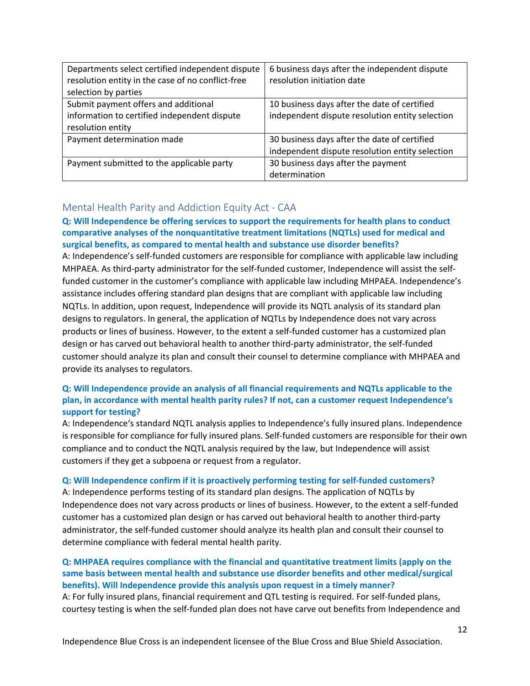| Departments select certified independent dispute  | 6 business days after the independent dispute   |
|---------------------------------------------------|-------------------------------------------------|
| resolution entity in the case of no conflict-free | resolution initiation date                      |
| selection by parties                              |                                                 |
| Submit payment offers and additional              | 10 business days after the date of certified    |
| information to certified independent dispute      | independent dispute resolution entity selection |
| resolution entity                                 |                                                 |
| Payment determination made                        | 30 business days after the date of certified    |
|                                                   | independent dispute resolution entity selection |
| Payment submitted to the applicable party         | 30 business days after the payment              |
|                                                   | determination                                   |

# <span id="page-13-0"></span>Mental Health Parity and Addiction Equity Act - CAA

# **Q: Will Independence be offering services to support the requirements for health plans to conduct comparative analyses of the nonquantitative treatment limitations (NQTLs) used for medical and surgical benefits, as compared to mental health and substance use disorder benefits?**

A: Independence's self-funded customers are responsible for compliance with applicable law including MHPAEA. As third-party administrator for the self-funded customer, Independence will assist the selffunded customer in the customer's compliance with applicable law including MHPAEA. Independence's assistance includes offering standard plan designs that are compliant with applicable law including NQTLs. In addition, upon request, Independence will provide its NQTL analysis of its standard plan designs to regulators. In general, the application of NQTLs by Independence does not vary across products or lines of business. However, to the extent a self-funded customer has a customized plan design or has carved out behavioral health to another third-party administrator, the self-funded customer should analyze its plan and consult their counsel to determine compliance with MHPAEA and provide its analyses to regulators.

# **Q: Will Independence provide an analysis of all financial requirements and NQTLs applicable to the plan, in accordance with mental health parity rules? If not, can a customer request Independence's support for testing?**

A: Independence's standard NQTL analysis applies to Independence's fully insured plans. Independence is responsible for compliance for fully insured plans. Self-funded customers are responsible for their own compliance and to conduct the NQTL analysis required by the law, but Independence will assist customers if they get a subpoena or request from a regulator.

#### **Q: Will Independence confirm if it is proactively performing testing for self-funded customers?**

A: Independence performs testing of its standard plan designs. The application of NQTLs by Independence does not vary across products or lines of business. However, to the extent a self-funded customer has a customized plan design or has carved out behavioral health to another third-party administrator, the self-funded customer should analyze its health plan and consult their counsel to determine compliance with federal mental health parity.

# **Q: MHPAEA requires compliance with the financial and quantitative treatment limits (apply on the same basis between mental health and substance use disorder benefits and other medical/surgical benefits). Will Independence provide this analysis upon request in a timely manner?** A: For fully insured plans, financial requirement and QTL testing is required. For self-funded plans,

courtesy testing is when the self-funded plan does not have carve out benefits from Independence and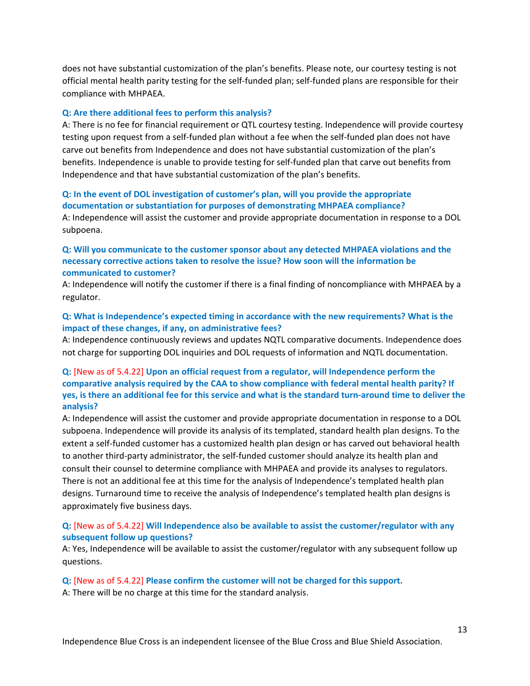does not have substantial customization of the plan's benefits. Please note, our courtesy testing is not official mental health parity testing for the self-funded plan; self-funded plans are responsible for their compliance with MHPAEA.

#### **Q: Are there additional fees to perform this analysis?**

A: There is no fee for financial requirement or QTL courtesy testing. Independence will provide courtesy testing upon request from a self-funded plan without a fee when the self-funded plan does not have carve out benefits from Independence and does not have substantial customization of the plan's benefits. Independence is unable to provide testing for self-funded plan that carve out benefits from Independence and that have substantial customization of the plan's benefits.

#### **Q: In the event of DOL investigation of customer's plan, will you provide the appropriate documentation or substantiation for purposes of demonstrating MHPAEA compliance?**

A: Independence will assist the customer and provide appropriate documentation in response to a DOL subpoena.

#### **Q: Will you communicate to the customer sponsor about any detected MHPAEA violations and the necessary corrective actions taken to resolve the issue? How soon will the information be communicated to customer?**

A: Independence will notify the customer if there is a final finding of noncompliance with MHPAEA by a regulator.

#### **Q: What is Independence's expected timing in accordance with the new requirements? What is the impact of these changes, if any, on administrative fees?**

A: Independence continuously reviews and updates NQTL comparative documents. Independence does not charge for supporting DOL inquiries and DOL requests of information and NQTL documentation.

### **Q:** [New as of 5.4.22] **Upon an official request from a regulator, will Independence perform the comparative analysis required by the CAA to show compliance with federal mental health parity? If yes, is there an additional fee for this service and what is the standard turn-around time to deliver the analysis?**

A: Independence will assist the customer and provide appropriate documentation in response to a DOL subpoena. Independence will provide its analysis of its templated, standard health plan designs. To the extent a self-funded customer has a customized health plan design or has carved out behavioral health to another third-party administrator, the self-funded customer should analyze its health plan and consult their counsel to determine compliance with MHPAEA and provide its analyses to regulators. There is not an additional fee at this time for the analysis of Independence's templated health plan designs. Turnaround time to receive the analysis of Independence's templated health plan designs is approximately five business days.

#### **Q:** [New as of 5.4.22] **Will Independence also be available to assist the customer/regulator with any subsequent follow up questions?**

A: Yes, Independence will be available to assist the customer/regulator with any subsequent follow up questions.

#### **Q:** [New as of 5.4.22] **Please confirm the customer will not be charged for this support.**

A: There will be no charge at this time for the standard analysis.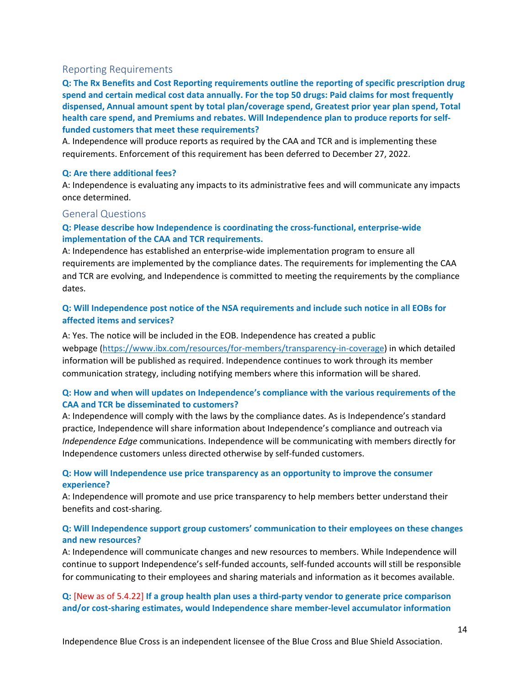#### <span id="page-15-0"></span>Reporting Requirements

**Q: The Rx Benefits and Cost Reporting requirements outline the reporting of specific prescription drug spend and certain medical cost data annually. For the top 50 drugs: Paid claims for most frequently dispensed, Annual amount spent by total plan/coverage spend, Greatest prior year plan spend, Total health care spend, and Premiums and rebates. Will Independence plan to produce reports for selffunded customers that meet these requirements?**

A. Independence will produce reports as required by the CAA and TCR and is implementing these requirements. Enforcement of this requirement has been deferred to December 27, 2022.

#### **Q: Are there additional fees?**

A: Independence is evaluating any impacts to its administrative fees and will communicate any impacts once determined.

#### <span id="page-15-1"></span>General Questions

# **Q: Please describe how Independence is coordinating the cross-functional, enterprise-wide implementation of the CAA and TCR requirements.**

A: Independence has established an enterprise-wide implementation program to ensure all requirements are implemented by the compliance dates. The requirements for implementing the CAA and TCR are evolving, and Independence is committed to meeting the requirements by the compliance dates.

# **Q: Will Independence post notice of the NSA requirements and include such notice in all EOBs for affected items and services?**

A: Yes. The notice will be included in the EOB. Independence has created a public webpage [\(https://www.ibx.com/resources/for-members/transparency-in-coverage\)](https://www.ibx.com/resources/for-members/transparency-in-coverage) in which detailed information will be published as required. Independence continues to work through its member communication strategy, including notifying members where this information will be shared.

### **Q: How and when will updates on Independence's compliance with the various requirements of the CAA and TCR be disseminated to customers?**

A: Independence will comply with the laws by the compliance dates. As is Independence's standard practice, Independence will share information about Independence's compliance and outreach via *Independence Edge* communications. Independence will be communicating with members directly for Independence customers unless directed otherwise by self-funded customers.

### **Q: How will Independence use price transparency as an opportunity to improve the consumer experience?**

A: Independence will promote and use price transparency to help members better understand their benefits and cost-sharing.

#### **Q: Will Independence support group customers' communication to their employees on these changes and new resources?**

A: Independence will communicate changes and new resources to members. While Independence will continue to support Independence's self-funded accounts, self-funded accounts will still be responsible for communicating to their employees and sharing materials and information as it becomes available.

### **Q:** [New as of 5.4.22] **If a group health plan uses a third-party vendor to generate price comparison and/or cost-sharing estimates, would Independence share member-level accumulator information**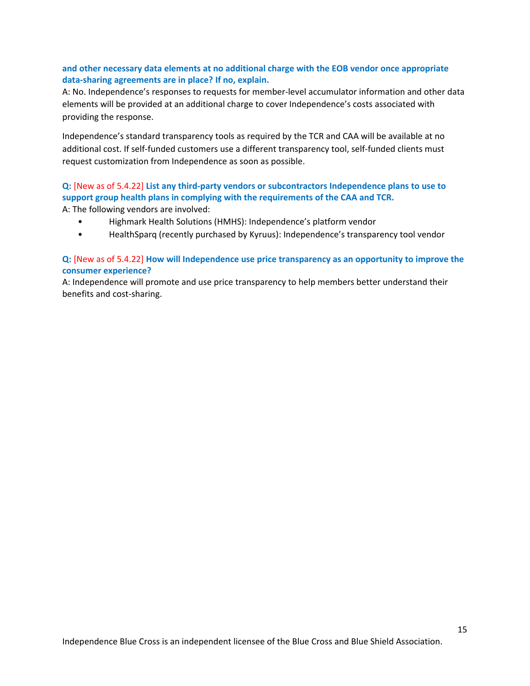### **and other necessary data elements at no additional charge with the EOB vendor once appropriate data-sharing agreements are in place? If no, explain.**

A: No. Independence's responses to requests for member-level accumulator information and other data elements will be provided at an additional charge to cover Independence's costs associated with providing the response.

Independence's standard transparency tools as required by the TCR and CAA will be available at no additional cost. If self-funded customers use a different transparency tool, self-funded clients must request customization from Independence as soon as possible.

# **Q:** [New as of 5.4.22] **List any third-party vendors or subcontractors Independence plans to use to support group health plans in complying with the requirements of the CAA and TCR.**

A: The following vendors are involved:

- Highmark Health Solutions (HMHS): Independence's platform vendor
- HealthSparq (recently purchased by Kyruus): Independence's transparency tool vendor

#### **Q:** [New as of 5.4.22] **How will Independence use price transparency as an opportunity to improve the consumer experience?**

A: Independence will promote and use price transparency to help members better understand their benefits and cost-sharing.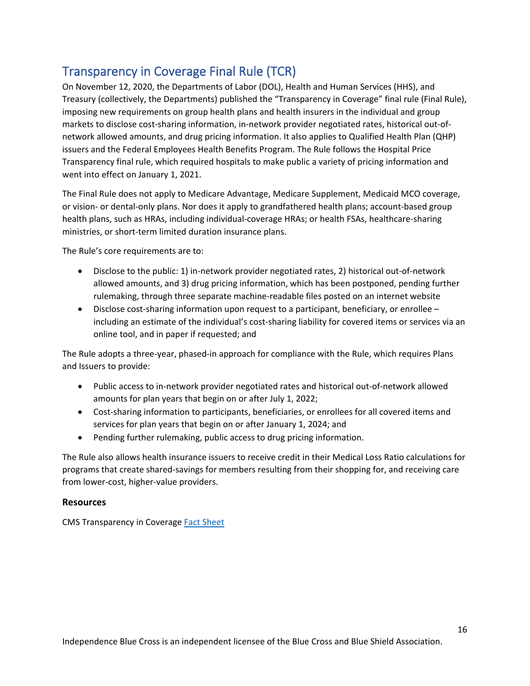# <span id="page-17-0"></span>Transparency in Coverage Final Rule (TCR)

On November 12, 2020, the Departments of Labor (DOL), Health and Human Services (HHS), and Treasury (collectively, the Departments) published the "Transparency in Coverage" final rule (Final Rule), imposing new requirements on group health plans and health insurers in the individual and group markets to disclose cost-sharing information, in-network provider negotiated rates, historical out-ofnetwork allowed amounts, and drug pricing information. It also applies to Qualified Health Plan (QHP) issuers and the Federal Employees Health Benefits Program. The Rule follows the Hospital Price Transparency final rule, which required hospitals to make public a variety of pricing information and went into effect on January 1, 2021.

The Final Rule does not apply to Medicare Advantage, Medicare Supplement, Medicaid MCO coverage, or vision- or dental-only plans. Nor does it apply to grandfathered health plans; account-based group health plans, such as HRAs, including individual-coverage HRAs; or health FSAs, healthcare-sharing ministries, or short-term limited duration insurance plans.

The Rule's core requirements are to:

- Disclose to the public: 1) in-network provider negotiated rates, 2) historical out-of-network allowed amounts, and 3) drug pricing information, which has been postponed, pending further rulemaking, through three separate machine-readable files posted on an internet website
- Disclose cost-sharing information upon request to a participant, beneficiary, or enrollee including an estimate of the individual's cost-sharing liability for covered items or services via an online tool, and in paper if requested; and

The Rule adopts a three-year, phased-in approach for compliance with the Rule, which requires Plans and Issuers to provide:

- Public access to in-network provider negotiated rates and historical out-of-network allowed amounts for plan years that begin on or after July 1, 2022;
- Cost-sharing information to participants, beneficiaries, or enrollees for all covered items and services for plan years that begin on or after January 1, 2024; and
- Pending further rulemaking, public access to drug pricing information.

The Rule also allows health insurance issuers to receive credit in their Medical Loss Ratio calculations for programs that create shared-savings for members resulting from their shopping for, and receiving care from lower-cost, higher-value providers.

#### **Resources**

CMS Transparency in Coverag[e Fact Sheet](https://www.cms.gov/newsroom/fact-sheets/transparency-coverage-final-rule-fact-sheet-cms-9915-f)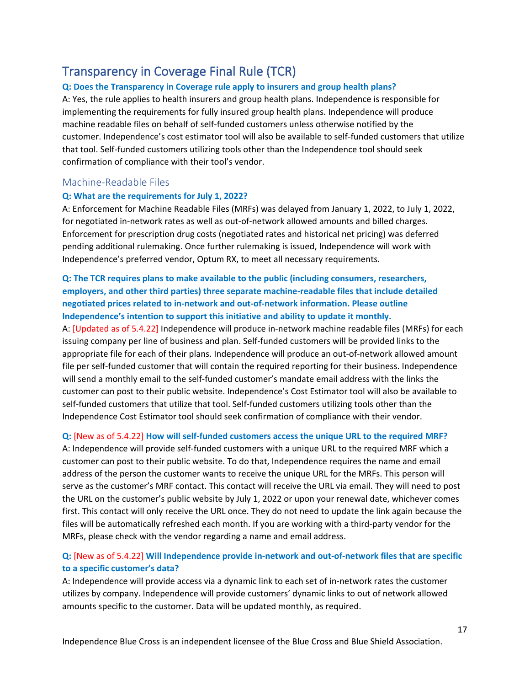# <span id="page-18-0"></span>Transparency in Coverage Final Rule (TCR)

#### **Q: Does the Transparency in Coverage rule apply to insurers and group health plans?**

A: Yes, the rule applies to health insurers and group health plans. Independence is responsible for implementing the requirements for fully insured group health plans. Independence will produce machine readable files on behalf of self-funded customers unless otherwise notified by the customer. Independence's cost estimator tool will also be available to self-funded customers that utilize that tool. Self-funded customers utilizing tools other than the Independence tool should seek confirmation of compliance with their tool's vendor.

### <span id="page-18-1"></span>Machine-Readable Files

#### **Q: What are the requirements for July 1, 2022?**

A: Enforcement for Machine Readable Files (MRFs) was delayed from January 1, 2022, to July 1, 2022, for negotiated in-network rates as well as out-of-network allowed amounts and billed charges. Enforcement for prescription drug costs (negotiated rates and historical net pricing) was deferred pending additional rulemaking. Once further rulemaking is issued, Independence will work with Independence's preferred vendor, Optum RX, to meet all necessary requirements.

# **Q: The TCR requires plans to make available to the public (including consumers, researchers, employers, and other third parties) three separate machine-readable files that include detailed negotiated prices related to in-network and out-of-network information. Please outline Independence's intention to support this initiative and ability to update it monthly.**

A: [Updated as of 5.4.22] Independence will produce in-network machine readable files (MRFs) for each issuing company per line of business and plan. Self-funded customers will be provided links to the appropriate file for each of their plans. Independence will produce an out-of-network allowed amount file per self-funded customer that will contain the required reporting for their business. Independence will send a monthly email to the self-funded customer's mandate email address with the links the customer can post to their public website. Independence's Cost Estimator tool will also be available to self-funded customers that utilize that tool. Self-funded customers utilizing tools other than the Independence Cost Estimator tool should seek confirmation of compliance with their vendor.

#### **Q:** [New as of 5.4.22] **How will self-funded customers access the unique URL to the required MRF?**

A: Independence will provide self-funded customers with a unique URL to the required MRF which a customer can post to their public website. To do that, Independence requires the name and email address of the person the customer wants to receive the unique URL for the MRFs. This person will serve as the customer's MRF contact. This contact will receive the URL via email. They will need to post the URL on the customer's public website by July 1, 2022 or upon your renewal date, whichever comes first. This contact will only receive the URL once. They do not need to update the link again because the files will be automatically refreshed each month. If you are working with a third-party vendor for the MRFs, please check with the vendor regarding a name and email address.

# **Q:** [New as of 5.4.22] **Will Independence provide in-network and out-of-network files that are specific to a specific customer's data?**

A: Independence will provide access via a dynamic link to each set of in-network rates the customer utilizes by company. Independence will provide customers' dynamic links to out of network allowed amounts specific to the customer. Data will be updated monthly, as required.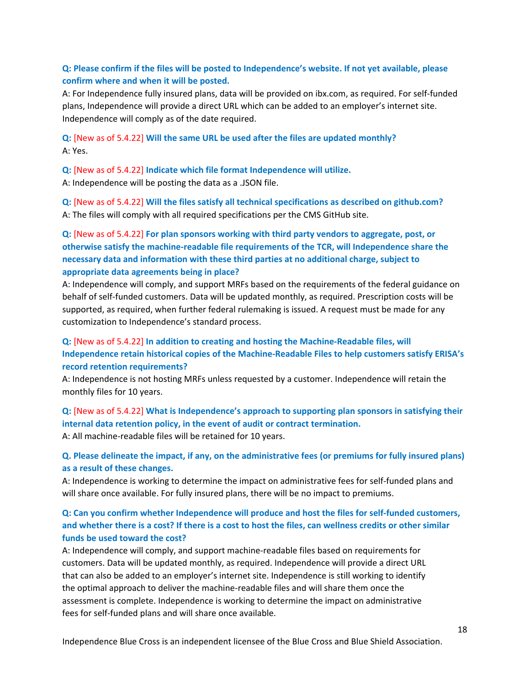### **Q: Please confirm if the files will be posted to Independence's website. If not yet available, please confirm where and when it will be posted.**

A: For Independence fully insured plans, data will be provided on ibx.com, as required. For self-funded plans, Independence will provide a direct URL which can be added to an employer's internet site. Independence will comply as of the date required.

**Q:** [New as of 5.4.22] **Will the same URL be used after the files are updated monthly?** A: Yes.

**Q:** [New as of 5.4.22] **Indicate which file format Independence will utilize.** A: Independence will be posting the data as a .JSON file.

**Q:** [New as of 5.4.22] **Will the files satisfy all technical specifications as described on github.com?** A: The files will comply with all required specifications per the CMS GitHub site.

**Q:** [New as of 5.4.22] **For plan sponsors working with third party vendors to aggregate, post, or otherwise satisfy the machine-readable file requirements of the TCR, will Independence share the necessary data and information with these third parties at no additional charge, subject to appropriate data agreements being in place?**

A: Independence will comply, and support MRFs based on the requirements of the federal guidance on behalf of self-funded customers. Data will be updated monthly, as required. Prescription costs will be supported, as required, when further federal rulemaking is issued. A request must be made for any customization to Independence's standard process.

# **Q:** [New as of 5.4.22] **In addition to creating and hosting the Machine-Readable files, will Independence retain historical copies of the Machine-Readable Files to help customers satisfy ERISA's record retention requirements?**

A: Independence is not hosting MRFs unless requested by a customer. Independence will retain the monthly files for 10 years.

**Q:** [New as of 5.4.22] **What is Independence's approach to supporting plan sponsors in satisfying their internal data retention policy, in the event of audit or contract termination.**

A: All machine-readable files will be retained for 10 years.

# **Q. Please delineate the impact, if any, on the administrative fees (or premiums for fully insured plans) as a result of these changes.**

A: Independence is working to determine the impact on administrative fees for self-funded plans and will share once available. For fully insured plans, there will be no impact to premiums.

# **Q: Can you confirm whether Independence will produce and host the files for self-funded customers, and whether there is a cost? If there is a cost to host the files, can wellness credits or other similar funds be used toward the cost?**

A: Independence will comply, and support machine-readable files based on requirements for customers. Data will be updated monthly, as required. Independence will provide a direct URL that can also be added to an employer's internet site. Independence is still working to identify the optimal approach to deliver the machine-readable files and will share them once the assessment is complete. Independence is working to determine the impact on administrative fees for self-funded plans and will share once available.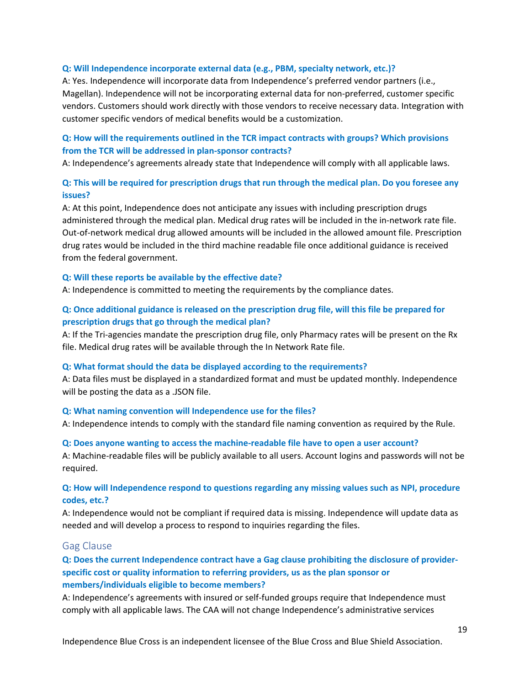#### **Q: Will Independence incorporate external data (e.g., PBM, specialty network, etc.)?**

A: Yes. Independence will incorporate data from Independence's preferred vendor partners (i.e., Magellan). Independence will not be incorporating external data for non-preferred, customer specific vendors. Customers should work directly with those vendors to receive necessary data. Integration with customer specific vendors of medical benefits would be a customization.

# **Q: How will the requirements outlined in the TCR impact contracts with groups? Which provisions from the TCR will be addressed in plan-sponsor contracts?**

A: Independence's agreements already state that Independence will comply with all applicable laws.

# **Q: This will be required for prescription drugs that run through the medical plan. Do you foresee any issues?**

A: At this point, Independence does not anticipate any issues with including prescription drugs administered through the medical plan. Medical drug rates will be included in the in-network rate file. Out-of-network medical drug allowed amounts will be included in the allowed amount file. Prescription drug rates would be included in the third machine readable file once additional guidance is received from the federal government.

#### **Q: Will these reports be available by the effective date?**

A: Independence is committed to meeting the requirements by the compliance dates.

### **Q: Once additional guidance is released on the prescription drug file, will this file be prepared for prescription drugs that go through the medical plan?**

A: If the Tri-agencies mandate the prescription drug file, only Pharmacy rates will be present on the Rx file. Medical drug rates will be available through the In Network Rate file.

#### **Q: What format should the data be displayed according to the requirements?**

A: Data files must be displayed in a standardized format and must be updated monthly. Independence will be posting the data as a .JSON file.

#### **Q: What naming convention will Independence use for the files?**

A: Independence intends to comply with the standard file naming convention as required by the Rule.

# **Q: Does anyone wanting to access the machine-readable file have to open a user account?** A: Machine-readable files will be publicly available to all users. Account logins and passwords will not be

required.

### **Q: How will Independence respond to questions regarding any missing values such as NPI, procedure codes, etc.?**

A: Independence would not be compliant if required data is missing. Independence will update data as needed and will develop a process to respond to inquiries regarding the files.

#### <span id="page-20-0"></span>Gag Clause

# **Q: Does the current Independence contract have a Gag clause prohibiting the disclosure of providerspecific cost or quality information to referring providers, us as the plan sponsor or members/individuals eligible to become members?**

A: Independence's agreements with insured or self-funded groups require that Independence must comply with all applicable laws. The CAA will not change Independence's administrative services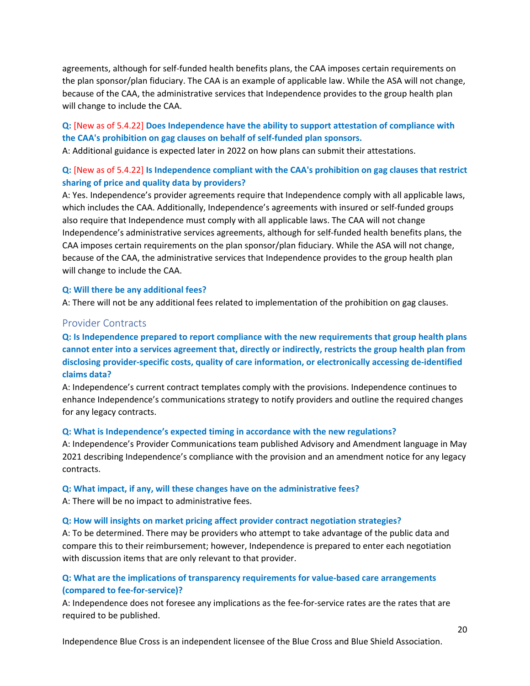agreements, although for self-funded health benefits plans, the CAA imposes certain requirements on the plan sponsor/plan fiduciary. The CAA is an example of applicable law. While the ASA will not change, because of the CAA, the administrative services that Independence provides to the group health plan will change to include the CAA.

# **Q:** [New as of 5.4.22] **Does Independence have the ability to support attestation of compliance with the CAA's prohibition on gag clauses on behalf of self-funded plan sponsors.**

A: Additional guidance is expected later in 2022 on how plans can submit their attestations.

# **Q:** [New as of 5.4.22] **Is Independence compliant with the CAA's prohibition on gag clauses that restrict sharing of price and quality data by providers?**

A: Yes. Independence's provider agreements require that Independence comply with all applicable laws, which includes the CAA. Additionally, Independence's agreements with insured or self-funded groups also require that Independence must comply with all applicable laws. The CAA will not change Independence's administrative services agreements, although for self-funded health benefits plans, the CAA imposes certain requirements on the plan sponsor/plan fiduciary. While the ASA will not change, because of the CAA, the administrative services that Independence provides to the group health plan will change to include the CAA.

#### **Q: Will there be any additional fees?**

A: There will not be any additional fees related to implementation of the prohibition on gag clauses.

### <span id="page-21-0"></span>Provider Contracts

**Q: Is Independence prepared to report compliance with the new requirements that group health plans cannot enter into a services agreement that, directly or indirectly, restricts the group health plan from disclosing provider-specific costs, quality of care information, or electronically accessing de-identified claims data?**

A: Independence's current contract templates comply with the provisions. Independence continues to enhance Independence's communications strategy to notify providers and outline the required changes for any legacy contracts.

#### **Q: What is Independence's expected timing in accordance with the new regulations?**

A: Independence's Provider Communications team published Advisory and Amendment language in May 2021 describing Independence's compliance with the provision and an amendment notice for any legacy contracts.

#### **Q: What impact, if any, will these changes have on the administrative fees?**

A: There will be no impact to administrative fees.

#### **Q: How will insights on market pricing affect provider contract negotiation strategies?**

A: To be determined. There may be providers who attempt to take advantage of the public data and compare this to their reimbursement; however, Independence is prepared to enter each negotiation with discussion items that are only relevant to that provider.

# **Q: What are the implications of transparency requirements for value-based care arrangements (compared to fee-for-service)?**

A: Independence does not foresee any implications as the fee-for-service rates are the rates that are required to be published.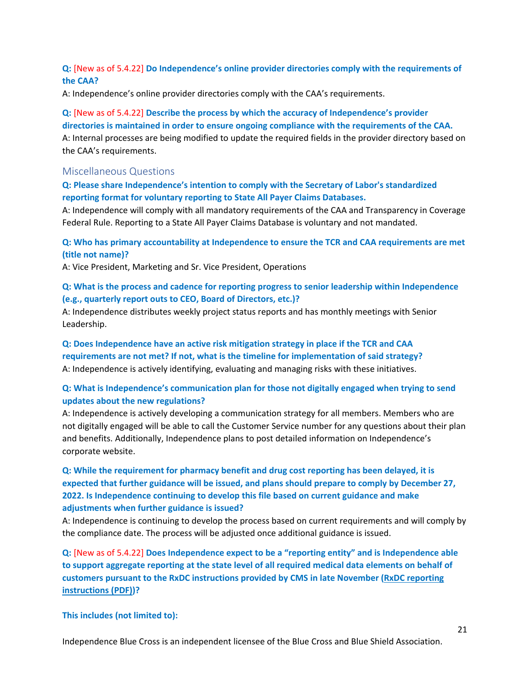### **Q:** [New as of 5.4.22] **Do Independence's online provider directories comply with the requirements of the CAA?**

A: Independence's online provider directories comply with the CAA's requirements.

# **Q:** [New as of 5.4.22] **Describe the process by which the accuracy of Independence's provider directories is maintained in order to ensure ongoing compliance with the requirements of the CAA.** A: Internal processes are being modified to update the required fields in the provider directory based on the CAA's requirements.

#### <span id="page-22-0"></span>Miscellaneous Questions

#### **Q: Please share Independence's intention to comply with the Secretary of Labor's standardized reporting format for voluntary reporting to State All Payer Claims Databases.**

A: Independence will comply with all mandatory requirements of the CAA and Transparency in Coverage Federal Rule. Reporting to a State All Payer Claims Database is voluntary and not mandated.

**Q: Who has primary accountability at Independence to ensure the TCR and CAA requirements are met (title not name)?**

A: Vice President, Marketing and Sr. Vice President, Operations

# **Q: What is the process and cadence for reporting progress to senior leadership within Independence (e.g., quarterly report outs to CEO, Board of Directors, etc.)?**

A: Independence distributes weekly project status reports and has monthly meetings with Senior Leadership.

**Q: Does Independence have an active risk mitigation strategy in place if the TCR and CAA requirements are not met? If not, what is the timeline for implementation of said strategy?** A: Independence is actively identifying, evaluating and managing risks with these initiatives.

#### **Q: What is Independence's communication plan for those not digitally engaged when trying to send updates about the new regulations?**

A: Independence is actively developing a communication strategy for all members. Members who are not digitally engaged will be able to call the Customer Service number for any questions about their plan and benefits. Additionally, Independence plans to post detailed information on Independence's corporate website.

# **Q: While the requirement for pharmacy benefit and drug cost reporting has been delayed, it is expected that further guidance will be issued, and plans should prepare to comply by December 27, 2022. Is Independence continuing to develop this file based on current guidance and make adjustments when further guidance is issued?**

A: Independence is continuing to develop the process based on current requirements and will comply by the compliance date. The process will be adjusted once additional guidance is issued.

**Q:** [New as of 5.4.22] **Does Independence expect to be a "reporting entity" and is Independence able to support aggregate reporting at the state level of all required medical data elements on behalf of customers pursuant to the RxDC instructions provided by CMS in late November [\(RxDC reporting](https://www.cms.gov/files/document/rxdc-section-204-reporting-instructions.pdf)  [instructions](https://www.cms.gov/files/document/rxdc-section-204-reporting-instructions.pdf) (PDF))?** 

#### **This includes (not limited to):**